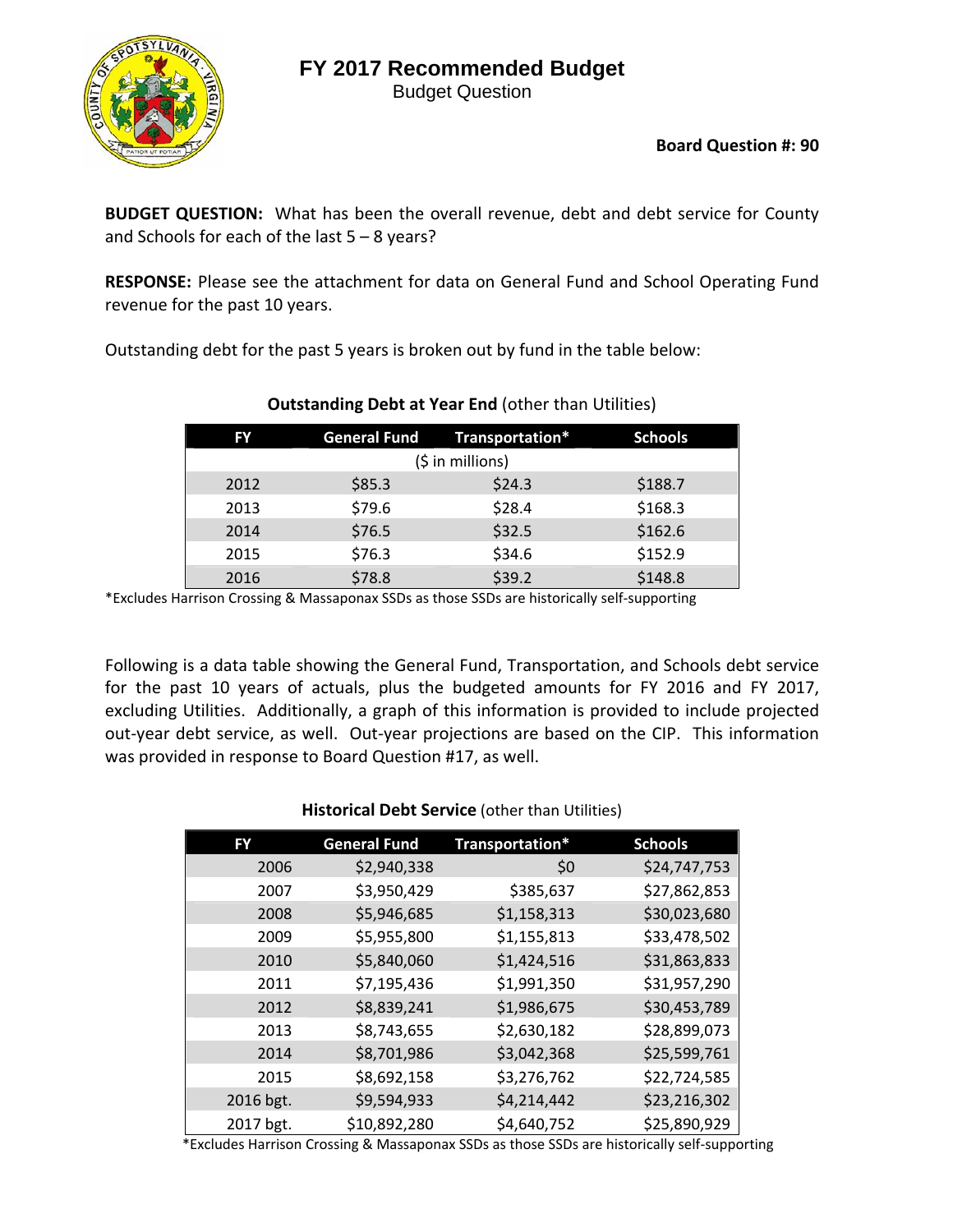# **FY 2017 Recommended Budget**

Budget Question



**BUDGET QUESTION:** What has been the overall revenue, debt and debt service for County and Schools for each of the last 5 – 8 years?

**RESPONSE:** Please see the attachment for data on General Fund and School Operating Fund revenue for the past 10 years.

Outstanding debt for the past 5 years is broken out by fund in the table below:

| FY.               | <b>General Fund</b> | Transportation* | <b>Schools</b> |  |  |  |  |  |  |  |
|-------------------|---------------------|-----------------|----------------|--|--|--|--|--|--|--|
| $(5$ in millions) |                     |                 |                |  |  |  |  |  |  |  |
| 2012              | \$85.3              | \$24.3          | \$188.7        |  |  |  |  |  |  |  |
| 2013              | \$79.6              | \$28.4          | \$168.3        |  |  |  |  |  |  |  |
| 2014              | \$76.5              | \$32.5          | \$162.6        |  |  |  |  |  |  |  |
| 2015              | \$76.3              | \$34.6          | \$152.9        |  |  |  |  |  |  |  |
| 2016              | \$78.8              | \$39.2          | \$148.8        |  |  |  |  |  |  |  |

# **Outstanding Debt at Year End** (other than Utilities)

\*Excludes Harrison Crossing & Massaponax SSDs as those SSDs are historically self‐supporting

Following is a data table showing the General Fund, Transportation, and Schools debt service for the past 10 years of actuals, plus the budgeted amounts for FY 2016 and FY 2017, excluding Utilities. Additionally, a graph of this information is provided to include projected out‐year debt service, as well. Out‐year projections are based on the CIP. This information was provided in response to Board Question #17, as well.

| FY        | <b>General Fund</b> | <b>Transportation*</b> | <b>Schools</b> |
|-----------|---------------------|------------------------|----------------|
| 2006      | \$2,940,338         | \$0                    | \$24,747,753   |
| 2007      | \$3,950,429         | \$385,637              | \$27,862,853   |
| 2008      | \$5,946,685         | \$1,158,313            | \$30,023,680   |
| 2009      | \$5,955,800         | \$1,155,813            | \$33,478,502   |
| 2010      | \$5,840,060         | \$1,424,516            | \$31,863,833   |
| 2011      | \$7,195,436         | \$1,991,350            | \$31,957,290   |
| 2012      | \$8,839,241         | \$1,986,675            | \$30,453,789   |
| 2013      | \$8,743,655         | \$2,630,182            | \$28,899,073   |
| 2014      | \$8,701,986         | \$3,042,368            | \$25,599,761   |
| 2015      | \$8,692,158         | \$3,276,762            | \$22,724,585   |
| 2016 bgt. | \$9,594,933         | \$4,214,442            | \$23,216,302   |
| 2017 bgt. | \$10,892,280        | \$4,640,752            | \$25,890,929   |

### **Historical Debt Service** (other than Utilities)

\*Excludes Harrison Crossing & Massaponax SSDs as those SSDs are historically self‐supporting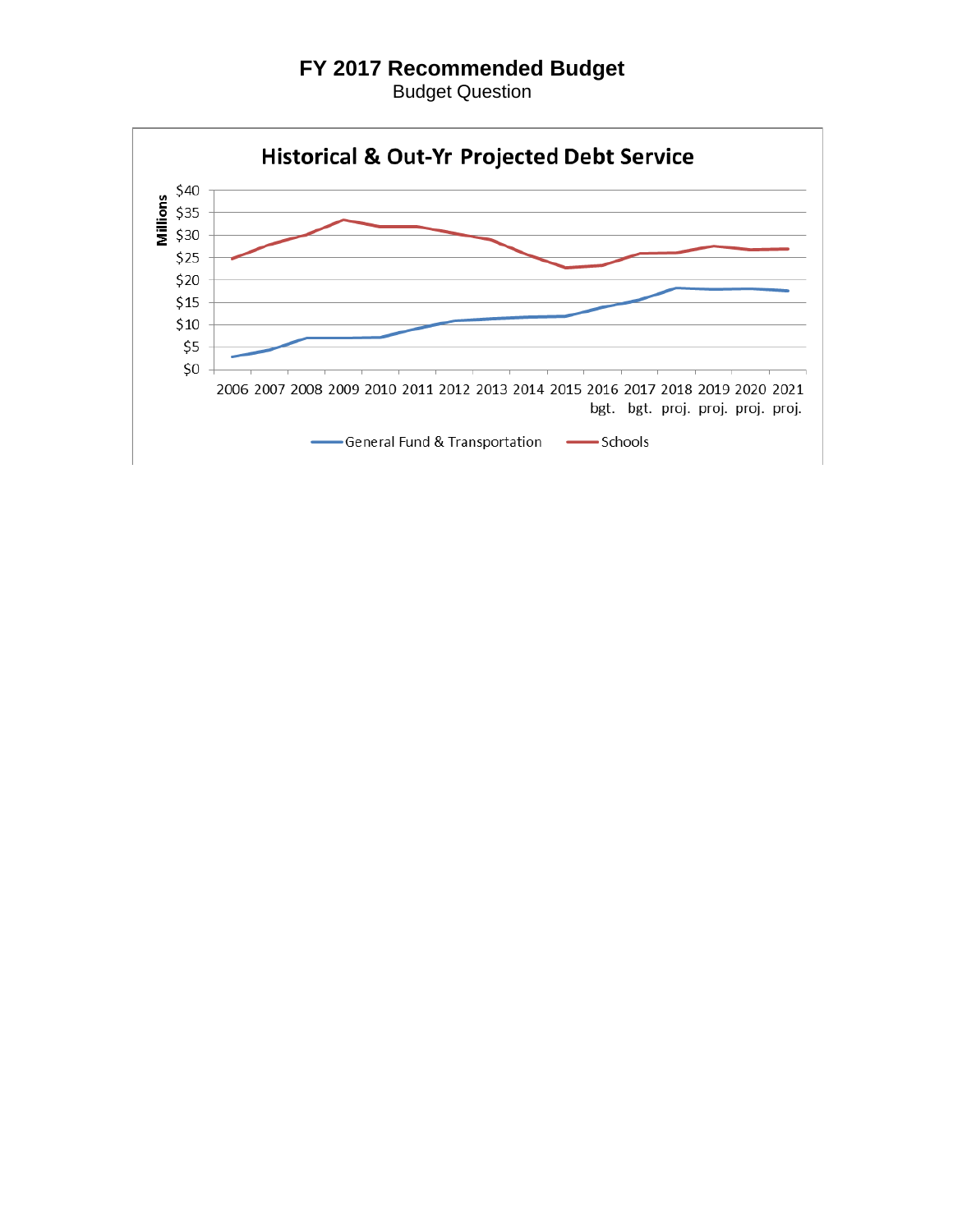## **FY 2017 Recommended Budget**

Budget Question